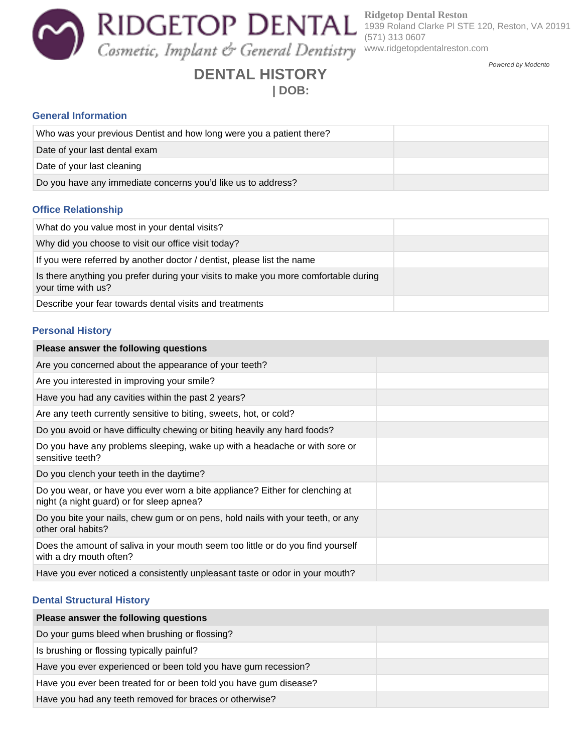**Ridgetop Dental Reston** 1939 Roland Clarke Pl STE 120, Reston, VA 20191 (571) 313 0607 www.ridgetopdentalreston.com

Powered by Modento

# **DENTAL HISTORY**

## **| DOB:**

### **General Information**

| Who was your previous Dentist and how long were you a patient there? |  |
|----------------------------------------------------------------------|--|
| Date of your last dental exam                                        |  |
| Date of your last cleaning                                           |  |
| Do you have any immediate concerns you'd like us to address?         |  |

#### **Office Relationship**

| What do you value most in your dental visits?                                                             |  |
|-----------------------------------------------------------------------------------------------------------|--|
| Why did you choose to visit our office visit today?                                                       |  |
| If you were referred by another doctor / dentist, please list the name                                    |  |
| Is there anything you prefer during your visits to make you more comfortable during<br>your time with us? |  |
| Describe your fear towards dental visits and treatments                                                   |  |

#### **Personal History**

| Please answer the following questions                                                                                     |  |
|---------------------------------------------------------------------------------------------------------------------------|--|
| Are you concerned about the appearance of your teeth?                                                                     |  |
| Are you interested in improving your smile?                                                                               |  |
| Have you had any cavities within the past 2 years?                                                                        |  |
| Are any teeth currently sensitive to biting, sweets, hot, or cold?                                                        |  |
| Do you avoid or have difficulty chewing or biting heavily any hard foods?                                                 |  |
| Do you have any problems sleeping, wake up with a headache or with sore or<br>sensitive teeth?                            |  |
| Do you clench your teeth in the daytime?                                                                                  |  |
| Do you wear, or have you ever worn a bite appliance? Either for clenching at<br>night (a night guard) or for sleep apnea? |  |
| Do you bite your nails, chew gum or on pens, hold nails with your teeth, or any<br>other oral habits?                     |  |
| Does the amount of saliva in your mouth seem too little or do you find yourself<br>with a dry mouth often?                |  |
| Have you ever noticed a consistently unpleasant taste or odor in your mouth?                                              |  |

#### **Dental Structural History**

| Please answer the following questions                             |  |
|-------------------------------------------------------------------|--|
| Do your gums bleed when brushing or flossing?                     |  |
| Is brushing or flossing typically painful?                        |  |
| Have you ever experienced or been told you have gum recession?    |  |
| Have you ever been treated for or been told you have gum disease? |  |
| Have you had any teeth removed for braces or otherwise?           |  |